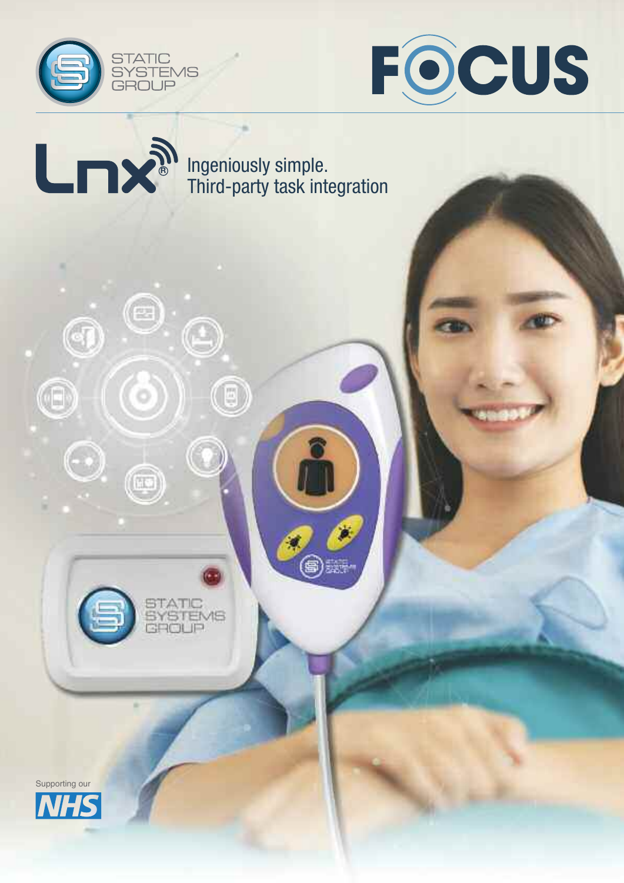





0

 $\textcircled{\small{1}}$ 

 $\bm{\mathord{\text{\rm{e}}}}$ 

Ó

STATIC<br>SYSTEMS<br>GROUP

 $\circledcirc$ 

Ingeniously simple. Third-party task integration

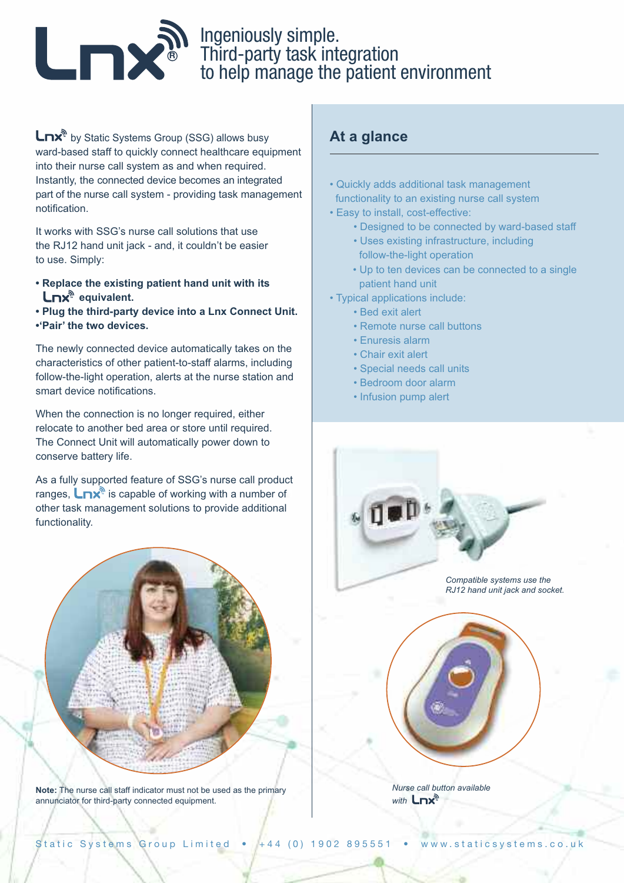

# **R** Ingeniously simple.<br> **B** Third-party task integration to help manage the patient environment

 $\mathsf{L}\mathsf{nx}^{\mathsf{a}}$  by Static Systems Group (SSG) allows busy ward-based staff to quickly connect healthcare equipment into their nurse call system as and when required. Instantly, the connected device becomes an integrated part of the nurse call system - providing task management notification.

It works with SSG's nurse call solutions that use the RJ12 hand unit jack - and, it couldn't be easier to use. Simply:

- **• Replace the existing patient hand unit with its Lnx**<sup>®</sup> equivalent.
- **• Plug the third-party device into a Lnx Connect Unit.**
- **•'Pair' the two devices.**

The newly connected device automatically takes on the characteristics of other patient-to-staff alarms, including follow-the-light operation, alerts at the nurse station and smart device notifications.

When the connection is no longer required, either relocate to another bed area or store until required. The Connect Unit will automatically power down to conserve battery life.

As a fully supported feature of SSG's nurse call product ranges,  $\Box$ nx<sup>®</sup> is capable of working with a number of other task management solutions to provide additional functionality.



**Note:** The nurse call staff indicator must not be used as the primary annunciator for third-party connected equipment.

### **At a glance**

- Quickly adds additional task management functionality to an existing nurse call system
- Easy to install, cost-effective:
	- Designed to be connected by ward-based staff
	- Uses existing infrastructure, including follow-the-light operation
	- Up to ten devices can be connected to a single patient hand unit
- Typical applications include:
	- Bed exit alert
	- Remote nurse call buttons
	- Enuresis alarm
	- Chair exit alert
	- Special needs call units
	- Bedroom door alarm
	- Infusion pump alert



*Nurse call button available* **with** Lnx<sup>®</sup>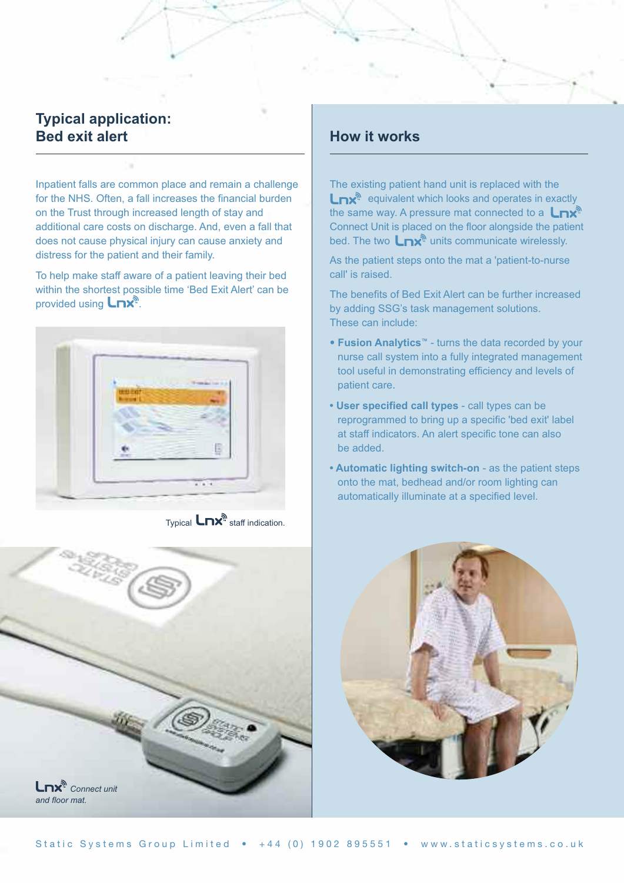#### **Typical application: Bed exit alert**

Inpatient falls are common place and remain a challenge for the NHS. Often, a fall increases the financial burden on the Trust through increased length of stay and additional care costs on discharge. And, even a fall that does not cause physical injury can cause anxiety and distress for the patient and their family.

To help make staff aware of a patient leaving their bed within the shortest possible time 'Bed Exit Alert' can be provided using  $\mathsf{L}\mathsf{D}\mathsf{X}^{\mathbb{N}}$ .



Typical  $\mathsf{L}\mathsf{nx}^{\mathsf{A}}$  staff indication.



#### **How it works**

The existing patient hand unit is replaced with the **Lnx**<sup>®</sup> equivalent which looks and operates in exactly the same way. A pressure mat connected to a  $\mathsf{L}\mathsf{nx}^{\mathsf{d}}$ Connect Unit is placed on the floor alongside the patient bed. The two  $\mathsf{L}\mathsf{nx}^{\mathsf{a}}$  units communicate wirelessly.

As the patient steps onto the mat a 'patient-to-nurse call' is raised.

The benefits of Bed Exit Alert can be further increased by adding SSG's task management solutions. These can include:

- **Fusion Analytics™** turns the data recorded by your nurse call system into a fully integrated management tool useful in demonstrating efficiency and levels of patient care.
- **• User specified call types** call types can be reprogrammed to bring up a specific 'bed exit' label at staff indicators. An alert specific tone can also be added.
- **• Automatic lighting switch-on** as the patient steps onto the mat, bedhead and/or room lighting can automatically illuminate at a specified level.